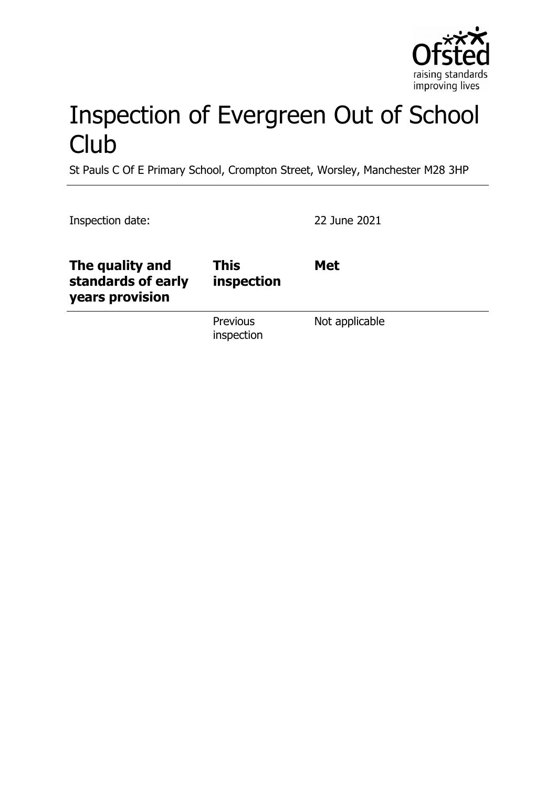

# Inspection of Evergreen Out of School **Club**

St Pauls C Of E Primary School, Crompton Street, Worsley, Manchester M28 3HP

Inspection date: 22 June 2021

| The quality and<br>standards of early<br>years provision | <b>This</b><br>inspection     | <b>Met</b>     |
|----------------------------------------------------------|-------------------------------|----------------|
|                                                          | <b>Previous</b><br>inspection | Not applicable |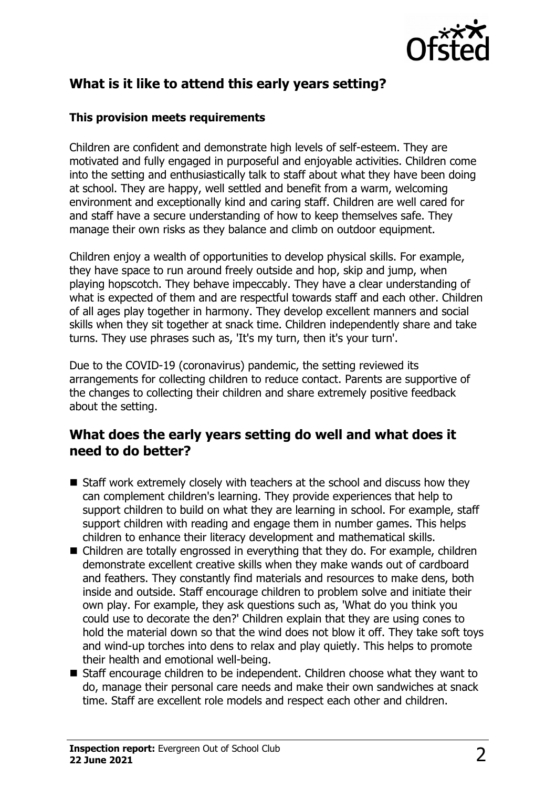

# **What is it like to attend this early years setting?**

#### **This provision meets requirements**

Children are confident and demonstrate high levels of self-esteem. They are motivated and fully engaged in purposeful and enjoyable activities. Children come into the setting and enthusiastically talk to staff about what they have been doing at school. They are happy, well settled and benefit from a warm, welcoming environment and exceptionally kind and caring staff. Children are well cared for and staff have a secure understanding of how to keep themselves safe. They manage their own risks as they balance and climb on outdoor equipment.

Children enjoy a wealth of opportunities to develop physical skills. For example, they have space to run around freely outside and hop, skip and jump, when playing hopscotch. They behave impeccably. They have a clear understanding of what is expected of them and are respectful towards staff and each other. Children of all ages play together in harmony. They develop excellent manners and social skills when they sit together at snack time. Children independently share and take turns. They use phrases such as, 'It's my turn, then it's your turn'.

Due to the COVID-19 (coronavirus) pandemic, the setting reviewed its arrangements for collecting children to reduce contact. Parents are supportive of the changes to collecting their children and share extremely positive feedback about the setting.

## **What does the early years setting do well and what does it need to do better?**

- $\blacksquare$  Staff work extremely closely with teachers at the school and discuss how they can complement children's learning. They provide experiences that help to support children to build on what they are learning in school. For example, staff support children with reading and engage them in number games. This helps children to enhance their literacy development and mathematical skills.
- $\blacksquare$  Children are totally engrossed in everything that they do. For example, children demonstrate excellent creative skills when they make wands out of cardboard and feathers. They constantly find materials and resources to make dens, both inside and outside. Staff encourage children to problem solve and initiate their own play. For example, they ask questions such as, 'What do you think you could use to decorate the den?' Children explain that they are using cones to hold the material down so that the wind does not blow it off. They take soft toys and wind-up torches into dens to relax and play quietly. This helps to promote their health and emotional well-being.
- Staff encourage children to be independent. Children choose what they want to do, manage their personal care needs and make their own sandwiches at snack time. Staff are excellent role models and respect each other and children.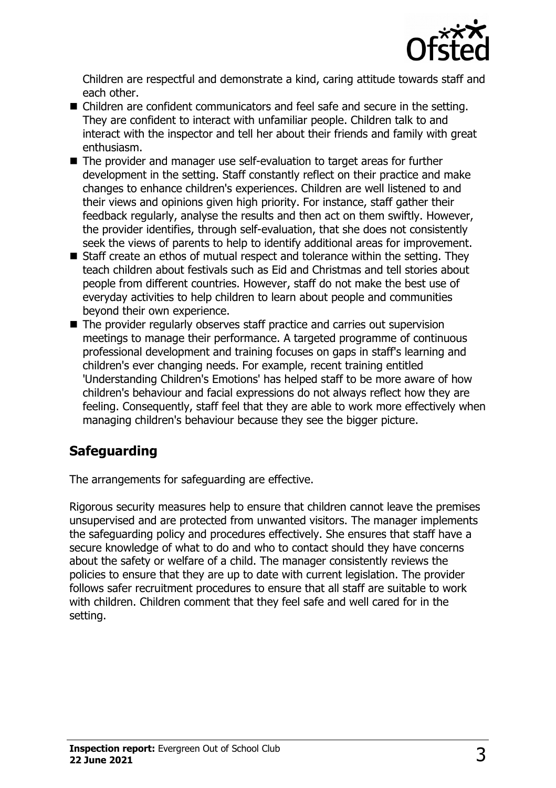

Children are respectful and demonstrate a kind, caring attitude towards staff and each other.

- $\blacksquare$  Children are confident communicators and feel safe and secure in the setting. They are confident to interact with unfamiliar people. Children talk to and interact with the inspector and tell her about their friends and family with great enthusiasm.
- The provider and manager use self-evaluation to target areas for further development in the setting. Staff constantly reflect on their practice and make changes to enhance children's experiences. Children are well listened to and their views and opinions given high priority. For instance, staff gather their feedback regularly, analyse the results and then act on them swiftly. However, the provider identifies, through self-evaluation, that she does not consistently seek the views of parents to help to identify additional areas for improvement.
- $\blacksquare$  Staff create an ethos of mutual respect and tolerance within the setting. They teach children about festivals such as Eid and Christmas and tell stories about people from different countries. However, staff do not make the best use of everyday activities to help children to learn about people and communities beyond their own experience.
- $\blacksquare$  The provider regularly observes staff practice and carries out supervision meetings to manage their performance. A targeted programme of continuous professional development and training focuses on gaps in staff's learning and children's ever changing needs. For example, recent training entitled 'Understanding Children's Emotions' has helped staff to be more aware of how children's behaviour and facial expressions do not always reflect how they are feeling. Consequently, staff feel that they are able to work more effectively when managing children's behaviour because they see the bigger picture.

# **Safeguarding**

The arrangements for safeguarding are effective.

Rigorous security measures help to ensure that children cannot leave the premises unsupervised and are protected from unwanted visitors. The manager implements the safeguarding policy and procedures effectively. She ensures that staff have a secure knowledge of what to do and who to contact should they have concerns about the safety or welfare of a child. The manager consistently reviews the policies to ensure that they are up to date with current legislation. The provider follows safer recruitment procedures to ensure that all staff are suitable to work with children. Children comment that they feel safe and well cared for in the setting.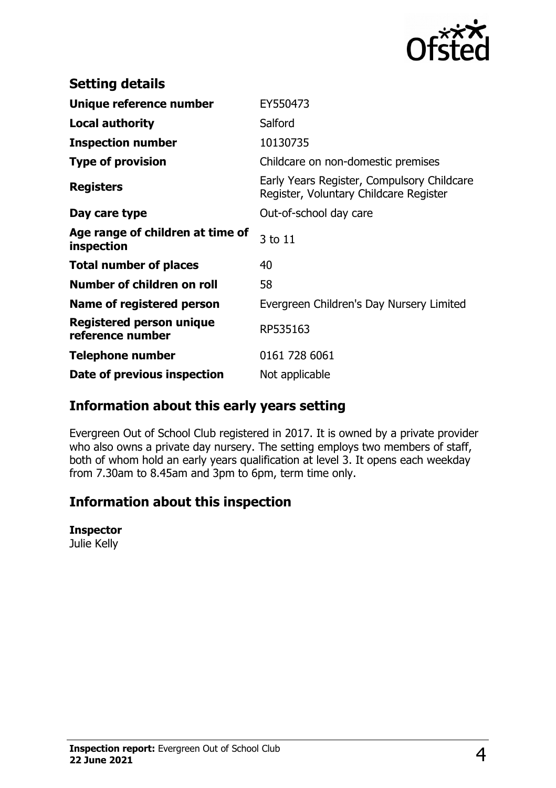

| <b>Setting details</b>                         |                                                                                      |
|------------------------------------------------|--------------------------------------------------------------------------------------|
| Unique reference number                        | EY550473                                                                             |
| <b>Local authority</b>                         | Salford                                                                              |
| <b>Inspection number</b>                       | 10130735                                                                             |
| <b>Type of provision</b>                       | Childcare on non-domestic premises                                                   |
| <b>Registers</b>                               | Early Years Register, Compulsory Childcare<br>Register, Voluntary Childcare Register |
| Day care type                                  | Out-of-school day care                                                               |
| Age range of children at time of<br>inspection | 3 to 11                                                                              |
| <b>Total number of places</b>                  | 40                                                                                   |
| Number of children on roll                     | 58                                                                                   |
| Name of registered person                      | Evergreen Children's Day Nursery Limited                                             |
| Registered person unique<br>reference number   | RP535163                                                                             |
| <b>Telephone number</b>                        | 0161 728 6061                                                                        |
| Date of previous inspection                    | Not applicable                                                                       |

# **Information about this early years setting**

Evergreen Out of School Club registered in 2017. It is owned by a private provider who also owns a private day nursery. The setting employs two members of staff, both of whom hold an early years qualification at level 3. It opens each weekday from 7.30am to 8.45am and 3pm to 6pm, term time only.

# **Information about this inspection**

#### **Inspector**

Julie Kelly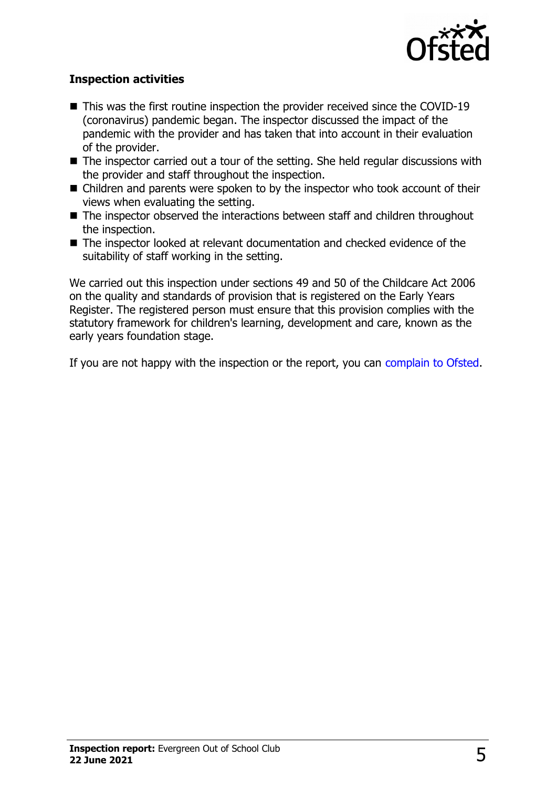

### **Inspection activities**

- $\blacksquare$  This was the first routine inspection the provider received since the COVID-19 (coronavirus) pandemic began. The inspector discussed the impact of the pandemic with the provider and has taken that into account in their evaluation of the provider.
- $\blacksquare$  The inspector carried out a tour of the setting. She held regular discussions with the provider and staff throughout the inspection.
- $\blacksquare$  Children and parents were spoken to by the inspector who took account of their views when evaluating the setting.
- $\blacksquare$  The inspector observed the interactions between staff and children throughout the inspection.
- The inspector looked at relevant documentation and checked evidence of the suitability of staff working in the setting.

We carried out this inspection under sections 49 and 50 of the Childcare Act 2006 on the quality and standards of provision that is registered on the Early Years Register. The registered person must ensure that this provision complies with the statutory framework for children's learning, development and care, known as the early years foundation stage.

If you are not happy with the inspection or the report, you can [complain to Ofsted.](http://www.gov.uk/complain-ofsted-report)